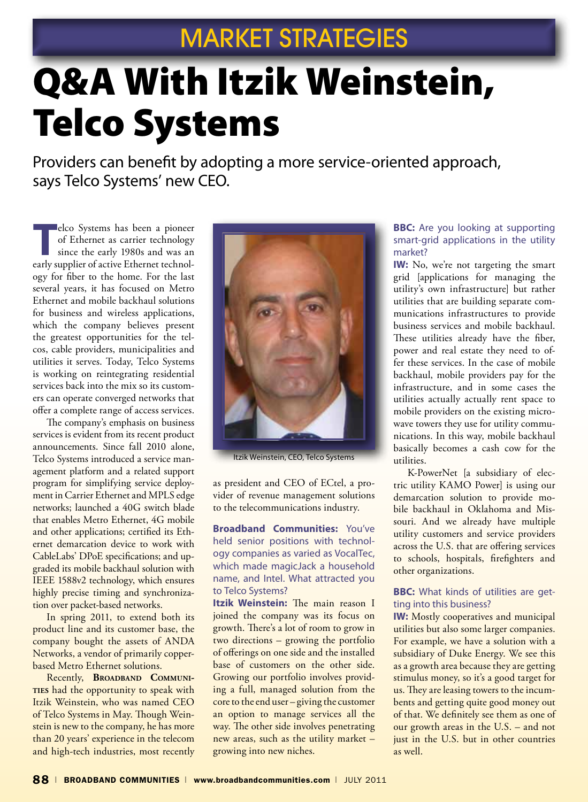## MARKET STRATEGIES

# Q&A With Itzik Weinstein, Telco Systems

Providers can benefit by adopting a more service-oriented approach, says Telco Systems' new CEO.

**T**elco Systems has been a pioneer of Ethernet as carrier technology since the early 1980s and was an early supplier of active Ethernet technology for fiber to the home. For the last several years, it has focused on Metro Ethernet and mobile backhaul solutions for business and wireless applications, which the company believes present the greatest opportunities for the telcos, cable providers, municipalities and utilities it serves. Today, Telco Systems is working on reintegrating residential services back into the mix so its customers can operate converged networks that offer a complete range of access services.

The company's emphasis on business services is evident from its recent product announcements. Since fall 2010 alone, Telco Systems introduced a service management platform and a related support program for simplifying service deployment in Carrier Ethernet and MPLS edge networks; launched a 40G switch blade that enables Metro Ethernet, 4G mobile and other applications; certified its Ethernet demarcation device to work with CableLabs' DPoE specifications; and upgraded its mobile backhaul solution with IEEE 1588v2 technology, which ensures highly precise timing and synchronization over packet-based networks.

In spring 2011, to extend both its product line and its customer base, the company bought the assets of ANDA Networks, a vendor of primarily copperbased Metro Ethernet solutions.

Recently, **BROADBAND COMMUNIties** had the opportunity to speak with Itzik Weinstein, who was named CEO of Telco Systems in May. Though Weinstein is new to the company, he has more than 20 years' experience in the telecom and high-tech industries, most recently



Itzik Weinstein, CEO, Telco Systems

as president and CEO of ECtel, a provider of revenue management solutions to the telecommunications industry.

**Broadband Communities:** You've held senior positions with technology companies as varied as VocalTec, which made magicJack a household name, and Intel. What attracted you to Telco Systems?

**Itzik Weinstein:** The main reason I joined the company was its focus on growth. There's a lot of room to grow in two directions – growing the portfolio of offerings on one side and the installed base of customers on the other side. Growing our portfolio involves providing a full, managed solution from the core to the end user – giving the customer an option to manage services all the way. The other side involves penetrating new areas, such as the utility market – growing into new niches.

#### **BBC:** Are you looking at supporting smart-grid applications in the utility market?

**IW:** No, we're not targeting the smart grid [applications for managing the utility's own infrastructure] but rather utilities that are building separate communications infrastructures to provide business services and mobile backhaul. These utilities already have the fiber, power and real estate they need to offer these services. In the case of mobile backhaul, mobile providers pay for the infrastructure, and in some cases the utilities actually actually rent space to mobile providers on the existing microwave towers they use for utility communications. In this way, mobile backhaul basically becomes a cash cow for the utilities.

K-PowerNet [a subsidiary of electric utility KAMO Power] is using our demarcation solution to provide mobile backhaul in Oklahoma and Missouri. And we already have multiple utility customers and service providers across the U.S. that are offering services to schools, hospitals, firefighters and other organizations.

### **BBC:** What kinds of utilities are getting into this business?

**IW:** Mostly cooperatives and municipal utilities but also some larger companies. For example, we have a solution with a subsidiary of Duke Energy. We see this as a growth area because they are getting stimulus money, so it's a good target for us. They are leasing towers to the incumbents and getting quite good money out of that. We definitely see them as one of our growth areas in the U.S. – and not just in the U.S. but in other countries as well.